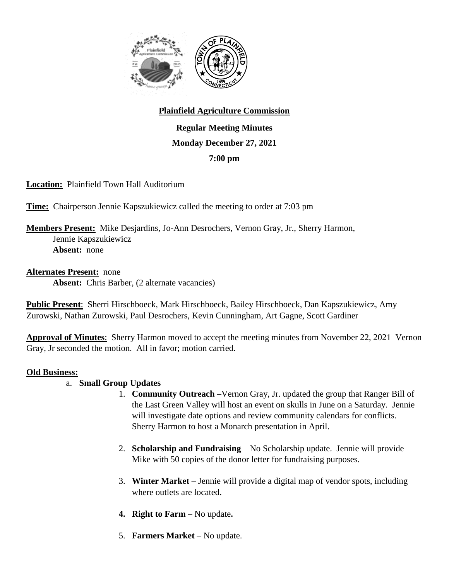

# **Plainfield Agriculture Commission**

**Regular Meeting Minutes Monday December 27, 2021 7:00 pm**

**Location:** Plainfield Town Hall Auditorium

**Time:** Chairperson Jennie Kapszukiewicz called the meeting to order at 7:03 pm

## **Members Present:** Mike Desjardins, Jo-Ann Desrochers, Vernon Gray, Jr., Sherry Harmon, Jennie Kapszukiewicz **Absent:** none

#### **Alternates Present:** none

Absent: Chris Barber, (2 alternate vacancies)

**Public Present**: Sherri Hirschboeck, Mark Hirschboeck, Bailey Hirschboeck, Dan Kapszukiewicz, Amy Zurowski, Nathan Zurowski, Paul Desrochers, Kevin Cunningham, Art Gagne, Scott Gardiner

**Approval of Minutes**: Sherry Harmon moved to accept the meeting minutes from November 22, 2021 Vernon Gray, Jr seconded the motion. All in favor; motion carried.

## **Old Business:**

## a. **Small Group Updates**

- 1. **Community Outreach** –Vernon Gray, Jr. updated the group that Ranger Bill of the Last Green Valley will host an event on skulls in June on a Saturday. Jennie will investigate date options and review community calendars for conflicts. Sherry Harmon to host a Monarch presentation in April.
- 2. **Scholarship and Fundraising** No Scholarship update. Jennie will provide Mike with 50 copies of the donor letter for fundraising purposes.
- 3. **Winter Market** Jennie will provide a digital map of vendor spots, including where outlets are located.
- **4. Right to Farm** No update**.**
- 5. **Farmers Market** No update.